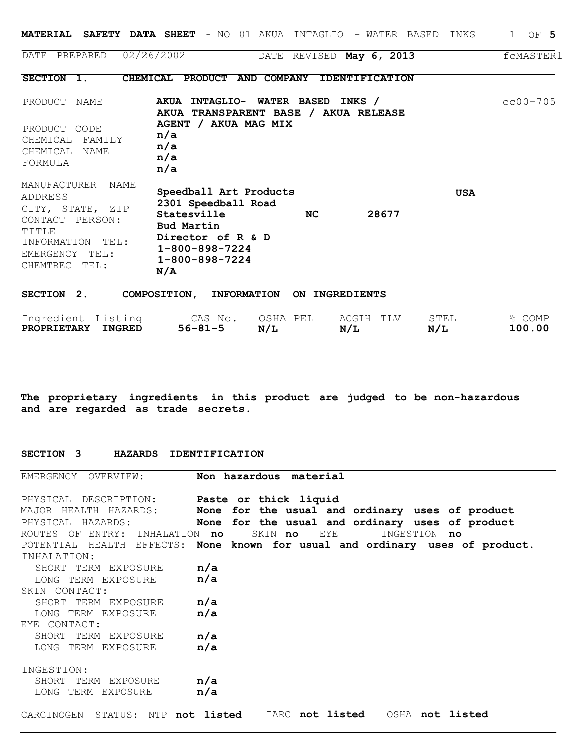|                                                                                                                                                     | <b>MATERIAL SAFETY DATA SHEET</b> - NO 01 AKUA INTAGLIO - WATER BASED<br>INKS                                                                                                            | 1 OF 5       |
|-----------------------------------------------------------------------------------------------------------------------------------------------------|------------------------------------------------------------------------------------------------------------------------------------------------------------------------------------------|--------------|
| DATE PREPARED                                                                                                                                       | 02/26/2002<br>DATE REVISED May 6, 2013                                                                                                                                                   | fcMASTER1    |
| SECTION 1.                                                                                                                                          | CHEMICAL PRODUCT AND COMPANY IDENTIFICATION                                                                                                                                              |              |
| PRODUCT<br>NAME<br>PRODUCT CODE<br>CHEMICAL<br>FAMILY<br>CHEMICAL<br>NAME<br>FORMULA                                                                | <b>AKUA</b><br><b>WATER BASED</b><br><b>INTAGLIO-</b><br>INKS /<br>AKUA TRANSPARENT BASE / AKUA RELEASE<br>AGENT / AKUA MAG MIX<br>n/a<br>n/a<br>n/a<br>n/a                              | $cc00 - 705$ |
| MANUFACTURER<br>NAME<br><b>ADDRESS</b><br>CITY, STATE, ZIP<br>CONTACT PERSON:<br>TITLE<br>INFORMATION<br>TEL:<br>EMERGENCY TEL:<br>CHEMTREC<br>TEL: | Speedball Art Products<br><b>USA</b><br>2301 Speedball Road<br>28677<br>Statesville<br>NC.<br>Bud Martin<br>Director of R & D<br>$1 - 800 - 898 - 7224$<br>$1 - 800 - 898 - 7224$<br>N/A |              |
| SECTION 2.                                                                                                                                          | <b>INFORMATION</b><br>COMPOSITION,<br>ON INGREDIENTS                                                                                                                                     |              |
| Ingredient Listing                                                                                                                                  | OSHA PEL<br>ACGIH<br>TLV<br><b>STEL</b><br>CAS No.                                                                                                                                       | % COMP       |

**The proprietary ingredients in this product are judged to be non-hazardous and are regarded as trade secrets.**

**PROPRIETARY INGRED 56-81-5 N/L N/L N/L 100.00**

| <b>SECTION</b><br><b>IDENTIFICATION</b><br>$\mathbf{3}$<br><b>HAZARDS</b> |
|---------------------------------------------------------------------------|
|---------------------------------------------------------------------------|

| EMERGENCY OVERVIEW: Non hazardous material         |                                                                              |
|----------------------------------------------------|------------------------------------------------------------------------------|
| PHYSICAL DESCRIPTION: <b>Paste or thick liquid</b> |                                                                              |
|                                                    | MAJOR HEALTH HAZARDS: None for the usual and ordinary uses of product        |
|                                                    | PHYSICAL HAZARDS: None for the usual and ordinary uses of product            |
| ROUTES OF ENTRY: INHALATION no                     | INGESTION no<br>SKIN no<br>EYE                                               |
|                                                    | POTENTIAL HEALTH EFFECTS: None known for usual and ordinary uses of product. |
| INHALATION:                                        |                                                                              |
| SHORT TERM EXPOSURE <b>n/a</b>                     |                                                                              |
| LONG TERM EXPOSURE <b>n/a</b>                      |                                                                              |
| SKIN CONTACT:                                      |                                                                              |
| SHORT TERM EXPOSURE <b>n/a</b>                     |                                                                              |
| LONG TERM EXPOSURE <b>n/a</b>                      |                                                                              |
| EYE CONTACT:                                       |                                                                              |
| SHORT TERM EXPOSURE <b>n/a</b>                     |                                                                              |
| LONG TERM EXPOSURE <b>n/a</b>                      |                                                                              |
| INGESTION:                                         |                                                                              |
| SHORT TERM EXPOSURE <b>n/a</b>                     |                                                                              |
| LONG TERM EXPOSURE <b>n/a</b>                      |                                                                              |
|                                                    | CARCINOGEN STATUS: NTP not listed IARC not listed OSHA not listed            |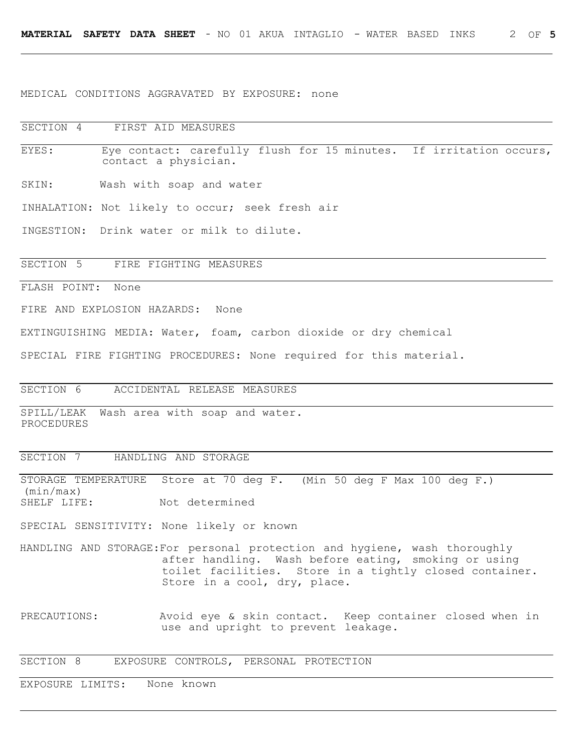MEDICAL CONDITIONS AGGRAVATED BY EXPOSURE: none

SECTION 4 FIRST AID MEASURES

EYES: Eye contact: carefully flush for 15 minutes. If irritation occurs, contact a physician.

SKIN: Wash with soap and water

INHALATION: Not likely to occur; seek fresh air

INGESTION: Drink water or milk to dilute.

SECTION 5 FIRE FIGHTING MEASURES

FLASH POINT: None

FIRE AND EXPLOSION HAZARDS: None

EXTINGUISHING MEDIA: Water, foam, carbon dioxide or dry chemical

SPECIAL FIRE FIGHTING PROCEDURES: None required for this material.

SECTION 6 ACCIDENTAL RELEASE MEASURES

SPILL/LEAK Wash area with soap and water. PROCEDURES

## SECTION 7 HANDLING AND STORAGE

STORAGE TEMPERATURE Store at 70 deg F. (Min 50 deg F Max 100 deg F.) (min/max) SHELF LIFE: Not determined

SPECIAL SENSITIVITY: None likely or known

- HANDLING AND STORAGE:For personal protection and hygiene, wash thoroughly after handling. Wash before eating, smoking or using toilet facilities. Store in a tightly closed container. Store in a cool, dry, place.
- PRECAUTIONS: Avoid eye & skin contact. Keep container closed when in use and upright to prevent leakage.

SECTION 8 EXPOSURE CONTROLS, PERSONAL PROTECTION

EXPOSURE LIMITS: None known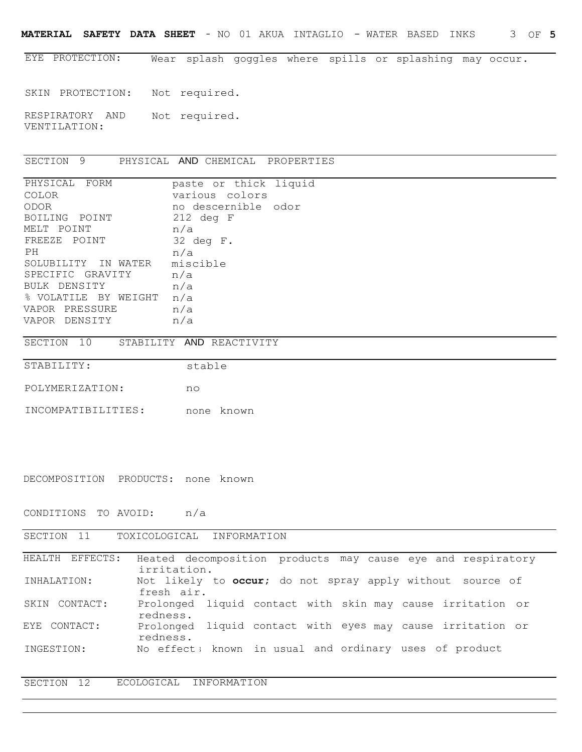**MATERIAL SAFETY DATA SHEET** - NO 01 AKUA INTAGLIO - WATER BASED INKS 3 OF **5**

EYE PROTECTION: Wear splash goggles where spills or splashing may occur.

SKIN PROTECTION: Not required.

RESPIRATORY AND Not required. VENTILATION:

SECTION 9 PHYSICAL AND CHEMICAL PROPERTIES

| PHYSICAL FORM        | paste or thick liquid |
|----------------------|-----------------------|
| <b>COLOR</b>         | various colors        |
| ODOR                 | no descernible odor   |
| BOILING POINT        | $212$ deg F           |
| MELT POINT           | n/a                   |
| FREEZE POINT         | $32$ deg $F$ .        |
| PH                   | n/a                   |
| SOLUBILITY IN WATER  | miscible              |
| SPECIFIC GRAVITY     | n/a                   |
| BULK DENSITY         | n/a                   |
| % VOLATILE BY WEIGHT | n/a                   |
| VAPOR PRESSURE       | n/a                   |
| VAPOR DENSITY        | n/a                   |

SECTION 10 STABILITY AND REACTIVITY

STABILITY:

stable

POLYMERIZATION: no

INCOMPATIBILITIES: none known

DECOMPOSITION PRODUCTS: none known

CONDITIONS TO AVOID: n/a

SECTION 11 TOXICOLOGICAL INFORMATION

| HEALTH EFFECTS: | Heated decomposition products may cause eye and respiratory |  |
|-----------------|-------------------------------------------------------------|--|
|                 | irritation.                                                 |  |
| INHALATION:     | Not likely to occur; do not spray apply without source of   |  |
|                 | fresh air.                                                  |  |
| SKIN CONTACT:   | Prolonged liquid contact with skin may cause irritation or  |  |
|                 | redness.                                                    |  |
| EYE CONTACT:    | Prolonged liquid contact with eyes may cause irritation or  |  |
|                 | redness.                                                    |  |
| INGESTION:      | No effect; known in usual and ordinary uses of product      |  |
|                 |                                                             |  |

SECTION 12 ECOLOGICAL INFORMATION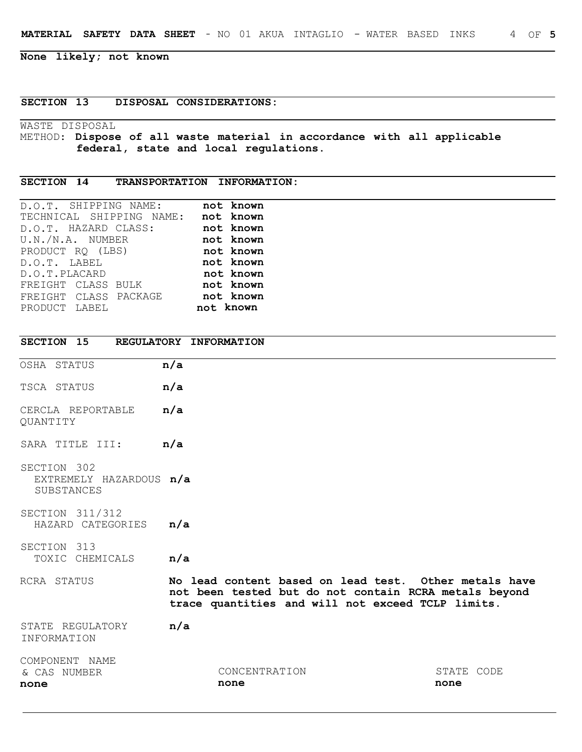**None likely; not known**

## **SECTION 13 DISPOSAL CONSIDERATIONS:**

WASTE DISPOSAL METHOD: **Dispose of all waste material in accordance with all applicable federal, state and local regulations.**

## **SECTION 14 TRANSPORTATION INFORMATION:**

| D.O.T. SHIPPING NAME:    | not known |
|--------------------------|-----------|
| TECHNICAL SHIPPING NAME: | not known |
| D.O.T. HAZARD CLASS:     | not known |
| U.N./N.A. NUMBER         | not known |
| PRODUCT RQ (LBS)         | not known |
| D.O.T. LABEL             | not known |
| D.O.T.PLACARD            | not known |
| FREIGHT CLASS BULK       | not known |
| FREIGHT CLASS PACKAGE    | not known |
| PRODUCT LABEL            | not known |

| SECTION 15                                           | REGULATORY INFORMATION                                                                                                                                              |                    |
|------------------------------------------------------|---------------------------------------------------------------------------------------------------------------------------------------------------------------------|--------------------|
| OSHA STATUS                                          | n/a                                                                                                                                                                 |                    |
| TSCA STATUS                                          | n/a                                                                                                                                                                 |                    |
| CERCLA REPORTABLE<br>QUANTITY                        | n/a                                                                                                                                                                 |                    |
| SARA TITLE III:                                      | n/a                                                                                                                                                                 |                    |
| SECTION 302<br>EXTREMELY HAZARDOUS n/a<br>SUBSTANCES |                                                                                                                                                                     |                    |
| SECTION 311/312<br>HAZARD CATEGORIES                 | n/a                                                                                                                                                                 |                    |
| SECTION 313<br>TOXIC CHEMICALS                       | n/a                                                                                                                                                                 |                    |
| RCRA STATUS                                          | No lead content based on lead test. Other metals have<br>not been tested but do not contain RCRA metals beyond<br>trace quantities and will not exceed TCLP limits. |                    |
| STATE REGULATORY<br>INFORMATION                      | n/a                                                                                                                                                                 |                    |
| COMPONENT NAME<br>& CAS NUMBER<br>none               | CONCENTRATION<br>none                                                                                                                                               | STATE CODE<br>none |